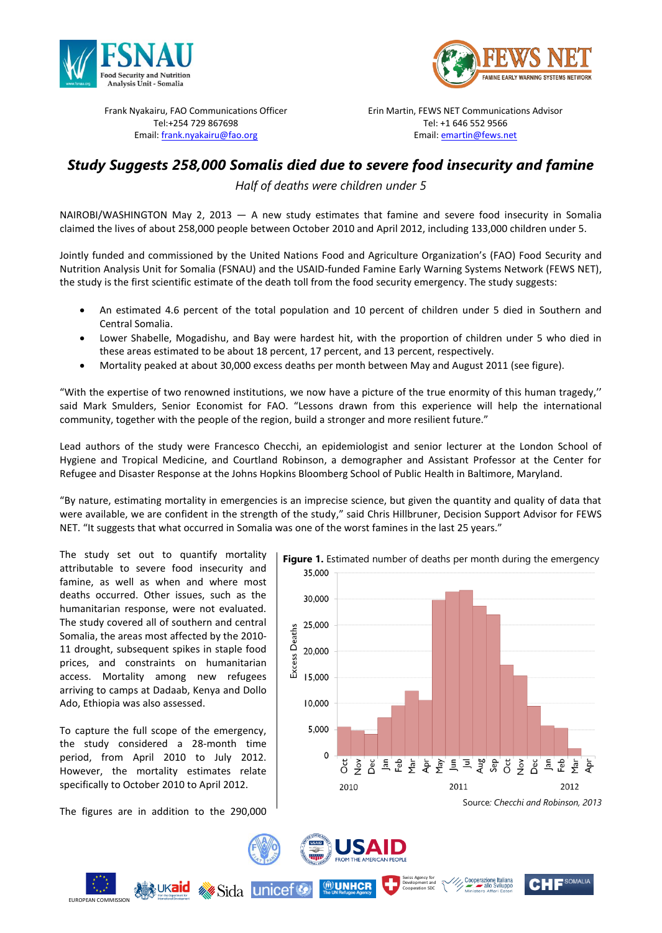



Frank Nyakairu, FAO Communications Officer Tel:+254 729 867698 Email: [frank.nyakairu@fao.org](mailto:frank.nyakairu@fao.org)

Erin Martin, FEWS NET Communications Advisor Tel: +1 646 552 9566 Email[: emartin@fews.net](mailto:emartin@fews.net)

# *Study Suggests 258,000 Somalis died due to severe food insecurity and famine*

*Half of deaths were children under 5* 

NAIROBI/WASHINGTON May 2, 2013 — A new study estimates that famine and severe food insecurity in Somalia claimed the lives of about 258,000 people between October 2010 and April 2012, including 133,000 children under 5.

Jointly funded and commissioned by the United Nations Food and Agriculture Organization's (FAO) Food Security and Nutrition Analysis Unit for Somalia (FSNAU) and the USAID-funded Famine Early Warning Systems Network (FEWS NET), the study is the first scientific estimate of the death toll from the food security emergency. The study suggests:

- An estimated 4.6 percent of the total population and 10 percent of children under 5 died in Southern and Central Somalia.
- Lower Shabelle, Mogadishu, and Bay were hardest hit, with the proportion of children under 5 who died in these areas estimated to be about 18 percent, 17 percent, and 13 percent, respectively.
- Mortality peaked at about 30,000 excess deaths per month between May and August 2011 (see figure).

"With the expertise of two renowned institutions, we now have a picture of the true enormity of this human tragedy,'' said Mark Smulders, Senior Economist for FAO. "Lessons drawn from this experience will help the international community, together with the people of the region, build a stronger and more resilient future."

Lead authors of the study were Francesco Checchi, an epidemiologist and senior lecturer at the London School of Hygiene and Tropical Medicine, and Courtland Robinson, a demographer and Assistant Professor at the Center for Refugee and Disaster Response at the Johns Hopkins Bloomberg School of Public Health in Baltimore, Maryland.

"By nature, estimating mortality in emergencies is an imprecise science, but given the quantity and quality of data that were available, we are confident in the strength of the study," said Chris Hillbruner, Decision Support Advisor for FEWS NET. "It suggests that what occurred in Somalia was one of the worst famines in the last 25 years."

The study set out to quantify mortality attributable to severe food insecurity and famine, as well as when and where most deaths occurred. Other issues, such as the humanitarian response, were not evaluated. The study covered all of southern and central Somalia, the areas most affected by the 2010- 11 drought, subsequent spikes in staple food prices, and constraints on humanitarian access. Mortality among new refugees arriving to camps at Dadaab, Kenya and Dollo Ado, Ethiopia was also assessed.

To capture the full scope of the emergency, the study considered a 28-month time period, from April 2010 to July 2012. However, the mortality estimates relate specifically to October 2010 to April 2012.

The figures are in addition to the 290,000

*<b>Sida* unicef

EUROPEAN COMMISSION





⑩UNHCR

 $\mathbf{C}$